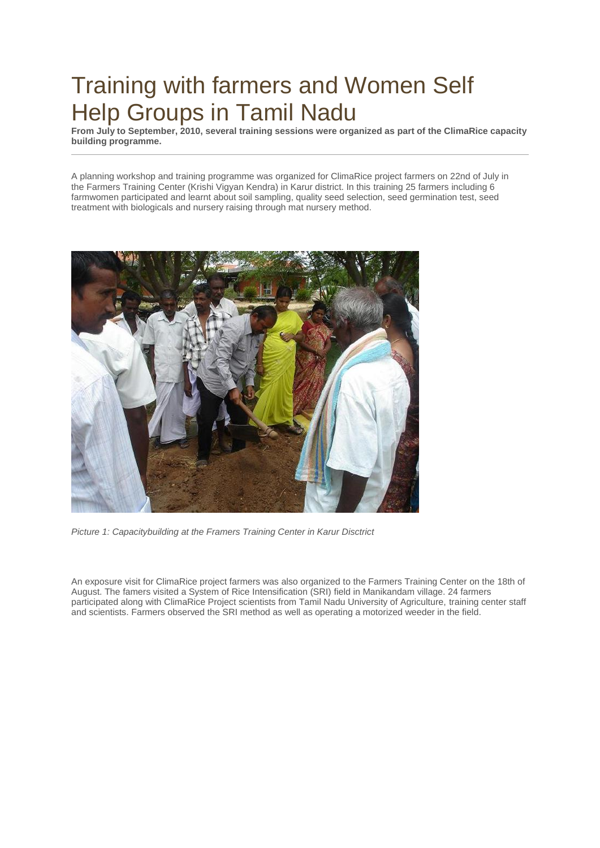## Training with farmers and Women Self Help Groups in Tamil Nadu

**From July to September, 2010, several training sessions were organized as part of the ClimaRice capacity building programme.**

A planning workshop and training programme was organized for ClimaRice project farmers on 22nd of July in the Farmers Training Center (Krishi Vigyan Kendra) in Karur district. In this training 25 farmers including 6 farmwomen participated and learnt about soil sampling, quality seed selection, seed germination test, seed treatment with biologicals and nursery raising through mat nursery method.



*Picture 1: Capacitybuilding at the Framers Training Center in Karur Disctrict*

An exposure visit for ClimaRice project farmers was also organized to the Farmers Training Center on the 18th of August. The famers visited a System of Rice Intensification (SRI) field in Manikandam village. 24 farmers participated along with ClimaRice Project scientists from Tamil Nadu University of Agriculture, training center staff and scientists. Farmers observed the SRI method as well as operating a motorized weeder in the field.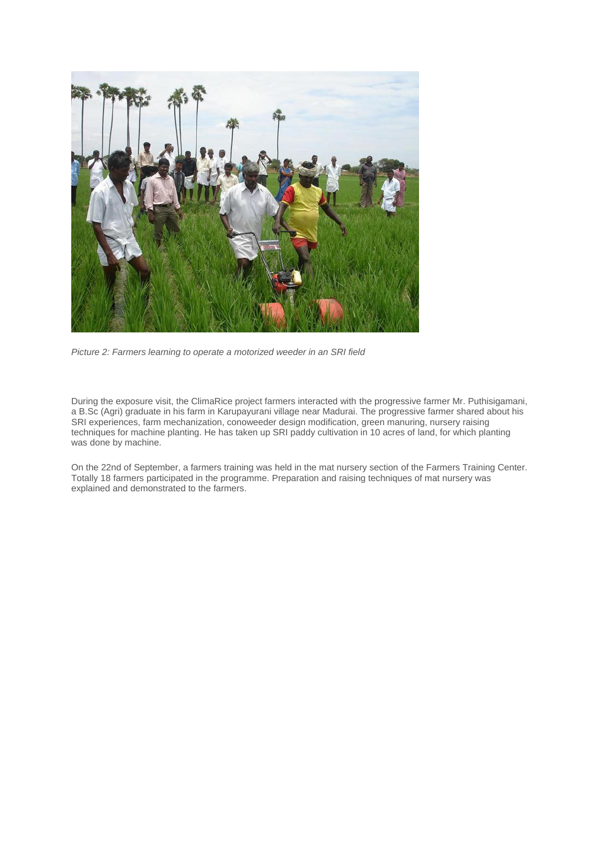

*Picture 2: Farmers learning to operate a motorized weeder in an SRI field*

During the exposure visit, the ClimaRice project farmers interacted with the progressive farmer Mr. Puthisigamani, a B.Sc (Agri) graduate in his farm in Karupayurani village near Madurai. The progressive farmer shared about his SRI experiences, farm mechanization, conoweeder design modification, green manuring, nursery raising techniques for machine planting. He has taken up SRI paddy cultivation in 10 acres of land, for which planting was done by machine.

On the 22nd of September, a farmers training was held in the mat nursery section of the Farmers Training Center. Totally 18 farmers participated in the programme. Preparation and raising techniques of mat nursery was explained and demonstrated to the farmers.